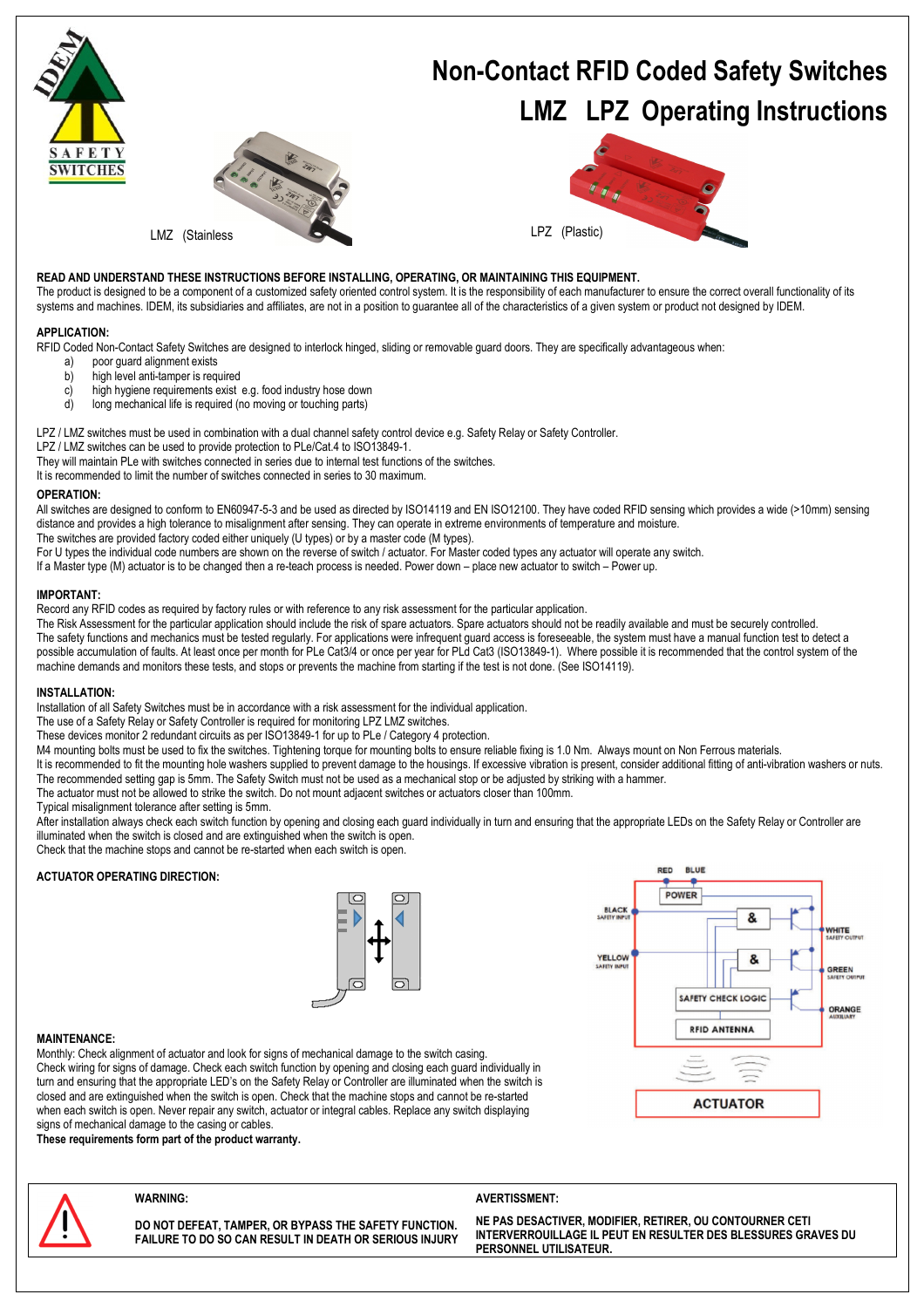

# LMZ (Stainless

# **Non-Contact RFID Coded Safety Switches LMZ LPZ Operating Instructions**



#### **READ AND UNDERSTAND THESE INSTRUCTIONS BEFORE INSTALLING, OPERATING, OR MAINTAINING THIS EQUIPMENT.**

The product is designed to be a component of a customized safety oriented control system. It is the responsibility of each manufacturer to ensure the correct overall functionality of its systems and machines. IDEM, its subsidiaries and affiliates, are not in a position to quarantee all of the characteristics of a given system or product not designed by IDEM.

#### **APPLICATION:**

RFID Coded Non-Contact Safety Switches are designed to interlock hinged, sliding or removable guard doors. They are specifically advantageous when:

- a) poor guard alignment exists<br>b) high level anti-tamper is requ
- high level anti-tamper is required
- c) high hygiene requirements exist e.g. food industry hose down<br>d) long mechanical life is required (no moving or fouching parts)
- long mechanical life is required (no moving or touching parts)

LPZ / LMZ switches must be used in combination with a dual channel safety control device e.g. Safety Relay or Safety Controller.

LPZ / LMZ switches can be used to provide protection to PLe/Cat.4 to ISO13849-1.

They will maintain PLe with switches connected in series due to internal test functions of the switches.

It is recommended to limit the number of switches connected in series to 30 maximum.

#### **OPERATION:**

All switches are designed to conform to EN60947-5-3 and be used as directed by ISO14119 and EN ISO12100. They have coded RFID sensing which provides a wide (>10mm) sensing distance and provides a high tolerance to misalignment after sensing. They can operate in extreme environments of temperature and moisture.

The switches are provided factory coded either uniquely (U types) or by a master code (M types).

For U types the individual code numbers are shown on the reverse of switch / actuator. For Master coded types any actuator will operate any switch.

If a Master type (M) actuator is to be changed then a re-teach process is needed. Power down – place new actuator to switch – Power up.

#### **IMPORTANT:**

Record any RFID codes as required by factory rules or with reference to any risk assessment for the particular application.

The Risk Assessment for the particular application should include the risk of spare actuators. Spare actuators should not be readily available and must be securely controlled. The safety functions and mechanics must be tested regularly. For applications were infrequent guard access is foreseeable, the system must have a manual function test to detect a possible accumulation of faults. At least once per month for PLe Cat3/4 or once per year for PLd Cat3 (ISO13849-1). Where possible it is recommended that the control system of the machine demands and monitors these tests, and stops or prevents the machine from starting if the test is not done. (See ISO14119).

#### **INSTALLATION:**

Installation of all Safety Switches must be in accordance with a risk assessment for the individual application.

The use of a Safety Relay or Safety Controller is required for monitoring LPZ LMZ switches.

These devices monitor 2 redundant circuits as per ISO13849-1 for up to PLe / Category 4 protection.

M4 mounting bolts must be used to fix the switches. Tightening torque for mounting bolts to ensure reliable fixing is 1.0 Nm. Always mount on Non Ferrous materials.

It is recommended to fit the mounting hole washers supplied to prevent damage to the housings. If excessive vibration is present, consider additional fitting of anti-vibration washers or nuts. The recommended setting gap is 5mm. The Safety Switch must not be used as a mechanical stop or be adjusted by striking with a hammer.

The actuator must not be allowed to strike the switch. Do not mount adjacent switches or actuators closer than 100mm.

Typical misalignment tolerance after setting is 5mm.

After installation always check each switch function by opening and closing each guard individually in turn and ensuring that the appropriate LEDs on the Safety Relay or Controller are illuminated when the switch is closed and are extinguished when the switch is open.

Check that the machine stops and cannot be re-started when each switch is open.

#### **ACTUATOR OPERATING DIRECTION:**





#### **MAINTENANCE:**

Monthly: Check alignment of actuator and look for signs of mechanical damage to the switch casing. Check wiring for signs of damage. Check each switch function by opening and closing each guard individually in turn and ensuring that the appropriate LED's on the Safety Relay or Controller are illuminated when the switch is closed and are extinguished when the switch is open. Check that the machine stops and cannot be re-started when each switch is open. Never repair any switch, actuator or integral cables. Replace any switch displaying signs of mechanical damage to the casing or cables.

**These requirements form part of the product warranty.**



**DO NOT DEFEAT, TAMPER, OR BYPASS THE SAFETY FUNCTION. FAILURE TO DO SO CAN RESULT IN DEATH OR SERIOUS INJURY** 

#### WARNING: WARNING:

**NE PAS DESACTIVER, MODIFIER, RETIRER, OU CONTOURNER CETI INTERVERROUILLAGE IL PEUT EN RESULTER DES BLESSURES GRAVES DU PERSONNEL UTILISATEUR.**